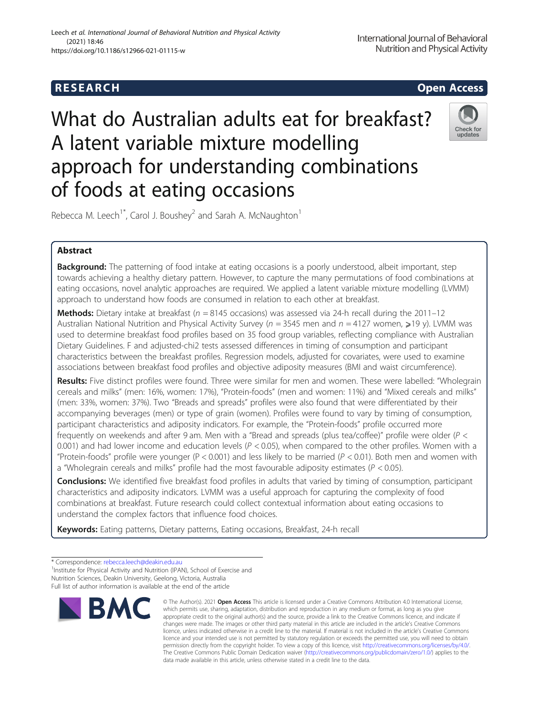# **RESEARCH CHE Open Access**

# What do Australian adults eat for breakfast? A latent variable mixture modelling approach for understanding combinations of foods at eating occasions



Rebecca M. Leech<sup>1\*</sup>, Carol J. Boushey<sup>2</sup> and Sarah A. McNaughton<sup>1</sup>

## Abstract

**Background:** The patterning of food intake at eating occasions is a poorly understood, albeit important, step towards achieving a healthy dietary pattern. However, to capture the many permutations of food combinations at eating occasions, novel analytic approaches are required. We applied a latent variable mixture modelling (LVMM) approach to understand how foods are consumed in relation to each other at breakfast.

**Methods:** Dietary intake at breakfast ( $n = 8145$  occasions) was assessed via 24-h recall during the 2011–12 Australian National Nutrition and Physical Activity Survey ( $n = 3545$  men and  $n = 4127$  women, >19 y). LVMM was used to determine breakfast food profiles based on 35 food group variables, reflecting compliance with Australian Dietary Guidelines. F and adjusted-chi2 tests assessed differences in timing of consumption and participant characteristics between the breakfast profiles. Regression models, adjusted for covariates, were used to examine associations between breakfast food profiles and objective adiposity measures (BMI and waist circumference).

Results: Five distinct profiles were found. Three were similar for men and women. These were labelled: "Wholegrain cereals and milks" (men: 16%, women: 17%), "Protein-foods" (men and women: 11%) and "Mixed cereals and milks" (men: 33%, women: 37%). Two "Breads and spreads" profiles were also found that were differentiated by their accompanying beverages (men) or type of grain (women). Profiles were found to vary by timing of consumption, participant characteristics and adiposity indicators. For example, the "Protein-foods" profile occurred more frequently on weekends and after 9 am. Men with a "Bread and spreads (plus tea/coffee)" profile were older (P < 0.001) and had lower income and education levels ( $P < 0.05$ ), when compared to the other profiles. Women with a "Protein-foods" profile were younger (P < 0.001) and less likely to be married ( $P$  < 0.01). Both men and women with a "Wholegrain cereals and milks" profile had the most favourable adiposity estimates ( $P < 0.05$ ).

**Conclusions:** We identified five breakfast food profiles in adults that varied by timing of consumption, participant characteristics and adiposity indicators. LVMM was a useful approach for capturing the complexity of food combinations at breakfast. Future research could collect contextual information about eating occasions to understand the complex factors that influence food choices.

Keywords: Eating patterns, Dietary patterns, Eating occasions, Breakfast, 24-h recall

<sup>&</sup>lt;sup>1</sup> Institute for Physical Activity and Nutrition (IPAN), School of Exercise and Nutrition Sciences, Deakin University, Geelong, Victoria, Australia Full list of author information is available at the end of the article



<sup>©</sup> The Author(s), 2021 **Open Access** This article is licensed under a Creative Commons Attribution 4.0 International License, which permits use, sharing, adaptation, distribution and reproduction in any medium or format, as long as you give appropriate credit to the original author(s) and the source, provide a link to the Creative Commons licence, and indicate if changes were made. The images or other third party material in this article are included in the article's Creative Commons licence, unless indicated otherwise in a credit line to the material. If material is not included in the article's Creative Commons licence and your intended use is not permitted by statutory regulation or exceeds the permitted use, you will need to obtain permission directly from the copyright holder. To view a copy of this licence, visit [http://creativecommons.org/licenses/by/4.0/.](http://creativecommons.org/licenses/by/4.0/) The Creative Commons Public Domain Dedication waiver [\(http://creativecommons.org/publicdomain/zero/1.0/](http://creativecommons.org/publicdomain/zero/1.0/)) applies to the data made available in this article, unless otherwise stated in a credit line to the data.

<sup>\*</sup> Correspondence: [rebecca.leech@deakin.edu.au](mailto:rebecca.leech@deakin.edu.au) <sup>1</sup>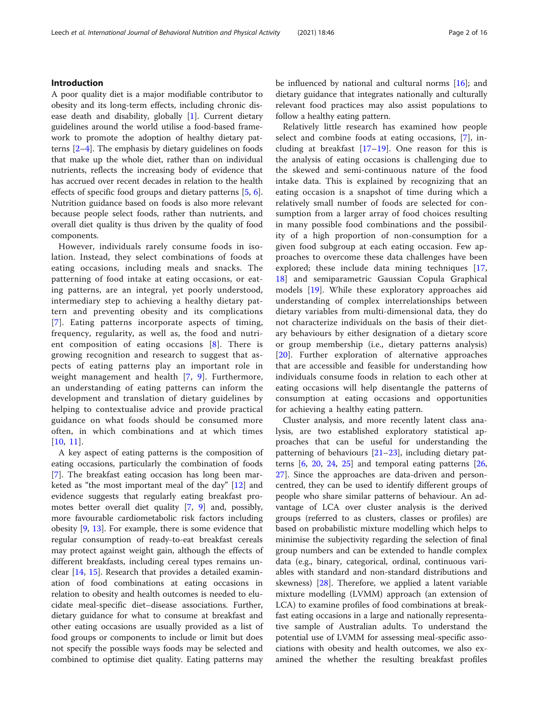#### Introduction

A poor quality diet is a major modifiable contributor to obesity and its long-term effects, including chronic disease death and disability, globally [[1\]](#page-14-0). Current dietary guidelines around the world utilise a food-based framework to promote the adoption of healthy dietary patterns [\[2](#page-14-0)–[4](#page-14-0)]. The emphasis by dietary guidelines on foods that make up the whole diet, rather than on individual nutrients, reflects the increasing body of evidence that has accrued over recent decades in relation to the health effects of specific food groups and dietary patterns [\[5](#page-14-0), [6](#page-14-0)]. Nutrition guidance based on foods is also more relevant because people select foods, rather than nutrients, and overall diet quality is thus driven by the quality of food components.

However, individuals rarely consume foods in isolation. Instead, they select combinations of foods at eating occasions, including meals and snacks. The patterning of food intake at eating occasions, or eating patterns, are an integral, yet poorly understood, intermediary step to achieving a healthy dietary pattern and preventing obesity and its complications [[7](#page-14-0)]. Eating patterns incorporate aspects of timing, frequency, regularity, as well as, the food and nutrient composition of eating occasions [[8\]](#page-14-0). There is growing recognition and research to suggest that aspects of eating patterns play an important role in weight management and health [[7,](#page-14-0) [9](#page-14-0)]. Furthermore, an understanding of eating patterns can inform the development and translation of dietary guidelines by helping to contextualise advice and provide practical guidance on what foods should be consumed more often, in which combinations and at which times [[10](#page-14-0), [11\]](#page-14-0).

A key aspect of eating patterns is the composition of eating occasions, particularly the combination of foods [[7\]](#page-14-0). The breakfast eating occasion has long been marketed as "the most important meal of the day" [[12\]](#page-14-0) and evidence suggests that regularly eating breakfast promotes better overall diet quality [[7,](#page-14-0) [9](#page-14-0)] and, possibly, more favourable cardiometabolic risk factors including obesity [[9,](#page-14-0) [13\]](#page-14-0). For example, there is some evidence that regular consumption of ready-to-eat breakfast cereals may protect against weight gain, although the effects of different breakfasts, including cereal types remains unclear [[14,](#page-14-0) [15\]](#page-14-0). Research that provides a detailed examination of food combinations at eating occasions in relation to obesity and health outcomes is needed to elucidate meal-specific diet–disease associations. Further, dietary guidance for what to consume at breakfast and other eating occasions are usually provided as a list of food groups or components to include or limit but does not specify the possible ways foods may be selected and combined to optimise diet quality. Eating patterns may

be influenced by national and cultural norms [\[16](#page-14-0)]; and dietary guidance that integrates nationally and culturally relevant food practices may also assist populations to follow a healthy eating pattern.

Relatively little research has examined how people select and combine foods at eating occasions, [[7\]](#page-14-0), including at breakfast  $[17-19]$  $[17-19]$  $[17-19]$  $[17-19]$ . One reason for this is the analysis of eating occasions is challenging due to the skewed and semi-continuous nature of the food intake data. This is explained by recognizing that an eating occasion is a snapshot of time during which a relatively small number of foods are selected for consumption from a larger array of food choices resulting in many possible food combinations and the possibility of a high proportion of non-consumption for a given food subgroup at each eating occasion. Few approaches to overcome these data challenges have been explored; these include data mining techniques [\[17](#page-14-0), [18\]](#page-14-0) and semiparametric Gaussian Copula Graphical models [[19](#page-14-0)]. While these exploratory approaches aid understanding of complex interrelationships between dietary variables from multi-dimensional data, they do not characterize individuals on the basis of their dietary behaviours by either designation of a dietary score or group membership (i.e., dietary patterns analysis) [[20\]](#page-14-0). Further exploration of alternative approaches that are accessible and feasible for understanding how individuals consume foods in relation to each other at eating occasions will help disentangle the patterns of consumption at eating occasions and opportunities for achieving a healthy eating pattern.

Cluster analysis, and more recently latent class analysis, are two established exploratory statistical approaches that can be useful for understanding the patterning of behaviours  $[21-23]$  $[21-23]$  $[21-23]$  $[21-23]$  $[21-23]$ , including dietary patterns [[6,](#page-14-0) [20](#page-14-0), [24,](#page-14-0) [25\]](#page-14-0) and temporal eating patterns [[26](#page-15-0), [27\]](#page-15-0). Since the approaches are data-driven and personcentred, they can be used to identify different groups of people who share similar patterns of behaviour. An advantage of LCA over cluster analysis is the derived groups (referred to as clusters, classes or profiles) are based on probabilistic mixture modelling which helps to minimise the subjectivity regarding the selection of final group numbers and can be extended to handle complex data (e.g., binary, categorical, ordinal, continuous variables with standard and non-standard distributions and skewness) [\[28\]](#page-15-0). Therefore, we applied a latent variable mixture modelling (LVMM) approach (an extension of LCA) to examine profiles of food combinations at breakfast eating occasions in a large and nationally representative sample of Australian adults. To understand the potential use of LVMM for assessing meal-specific associations with obesity and health outcomes, we also examined the whether the resulting breakfast profiles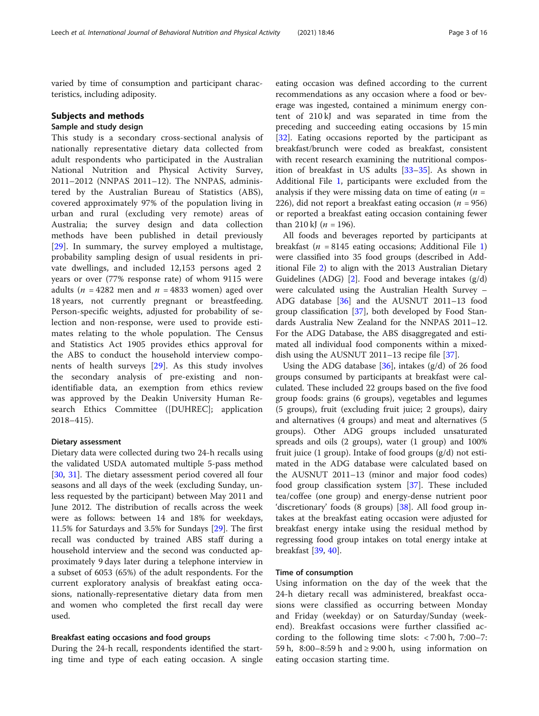varied by time of consumption and participant characteristics, including adiposity.

#### Subjects and methods

#### Sample and study design

This study is a secondary cross-sectional analysis of nationally representative dietary data collected from adult respondents who participated in the Australian National Nutrition and Physical Activity Survey, 2011–2012 (NNPAS 2011–12). The NNPAS, administered by the Australian Bureau of Statistics (ABS), covered approximately 97% of the population living in urban and rural (excluding very remote) areas of Australia; the survey design and data collection methods have been published in detail previously [[29\]](#page-15-0). In summary, the survey employed a multistage, probability sampling design of usual residents in private dwellings, and included 12,153 persons aged 2 years or over (77% response rate) of whom 9115 were adults ( $n = 4282$  men and  $n = 4833$  women) aged over 18 years, not currently pregnant or breastfeeding. Person-specific weights, adjusted for probability of selection and non-response, were used to provide estimates relating to the whole population. The Census and Statistics Act 1905 provides ethics approval for the ABS to conduct the household interview components of health surveys [[29](#page-15-0)]. As this study involves the secondary analysis of pre-existing and nonidentifiable data, an exemption from ethics review was approved by the Deakin University Human Research Ethics Committee ([DUHREC]; application 2018–415).

#### Dietary assessment

Dietary data were collected during two 24-h recalls using the validated USDA automated multiple 5-pass method [[30,](#page-15-0) [31](#page-15-0)]. The dietary assessment period covered all four seasons and all days of the week (excluding Sunday, unless requested by the participant) between May 2011 and June 2012. The distribution of recalls across the week were as follows: between 14 and 18% for weekdays, 11.5% for Saturdays and 3.5% for Sundays [[29](#page-15-0)]. The first recall was conducted by trained ABS staff during a household interview and the second was conducted approximately 9 days later during a telephone interview in a subset of 6053 (65%) of the adult respondents. For the current exploratory analysis of breakfast eating occasions, nationally-representative dietary data from men and women who completed the first recall day were used.

#### Breakfast eating occasions and food groups

During the 24-h recall, respondents identified the starting time and type of each eating occasion. A single

eating occasion was defined according to the current recommendations as any occasion where a food or beverage was ingested, contained a minimum energy content of 210 kJ and was separated in time from the preceding and succeeding eating occasions by 15 min [[32\]](#page-15-0). Eating occasions reported by the participant as breakfast/brunch were coded as breakfast, consistent with recent research examining the nutritional composition of breakfast in US adults [[33](#page-15-0)–[35\]](#page-15-0). As shown in Additional File [1,](#page-13-0) participants were excluded from the analysis if they were missing data on time of eating  $(n =$ 226), did not report a breakfast eating occasion ( $n = 956$ ) or reported a breakfast eating occasion containing fewer than 210 kJ ( $n = 196$ ).

All foods and beverages reported by participants at breakfast ( $n = 8145$  $n = 8145$  $n = 8145$  eating occasions; Additional File 1) were classified into 35 food groups (described in Additional File [2\)](#page-14-0) to align with the 2013 Australian Dietary Guidelines (ADG)  $[2]$  $[2]$  $[2]$ . Food and beverage intakes  $(g/d)$ were calculated using the Australian Health Survey – ADG database [\[36](#page-15-0)] and the AUSNUT 2011–13 food group classification [[37\]](#page-15-0), both developed by Food Standards Australia New Zealand for the NNPAS 2011–12. For the ADG Database, the ABS disaggregated and estimated all individual food components within a mixeddish using the AUSNUT 2011–13 recipe file [[37\]](#page-15-0).

Using the ADG database  $[36]$ , intakes  $(g/d)$  of 26 food groups consumed by participants at breakfast were calculated. These included 22 groups based on the five food group foods: grains (6 groups), vegetables and legumes (5 groups), fruit (excluding fruit juice; 2 groups), dairy and alternatives (4 groups) and meat and alternatives (5 groups). Other ADG groups included unsaturated spreads and oils (2 groups), water (1 group) and 100% fruit juice (1 group). Intake of food groups (g/d) not estimated in the ADG database were calculated based on the AUSNUT 2011–13 (minor and major food codes) food group classification system [[37](#page-15-0)]. These included tea/coffee (one group) and energy-dense nutrient poor 'discretionary' foods (8 groups) [[38](#page-15-0)]. All food group intakes at the breakfast eating occasion were adjusted for breakfast energy intake using the residual method by regressing food group intakes on total energy intake at breakfast [[39](#page-15-0), [40](#page-15-0)].

#### Time of consumption

Using information on the day of the week that the 24-h dietary recall was administered, breakfast occasions were classified as occurring between Monday and Friday (weekday) or on Saturday/Sunday (weekend). Breakfast occasions were further classified according to the following time slots: < 7:00 h, 7:00–7: 59 h,  $8:00-8:59$  h and  $\geq 9:00$  h, using information on eating occasion starting time.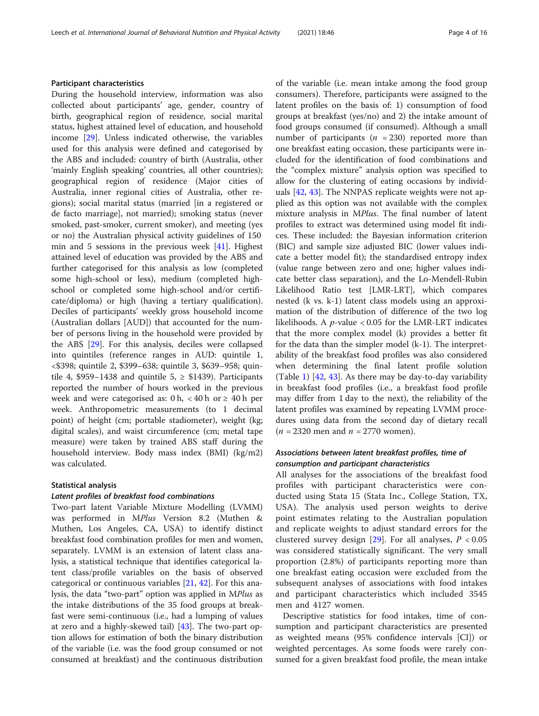#### Participant characteristics

During the household interview, information was also collected about participants' age, gender, country of birth, geographical region of residence, social marital status, highest attained level of education, and household income [\[29\]](#page-15-0). Unless indicated otherwise, the variables used for this analysis were defined and categorised by the ABS and included: country of birth (Australia, other 'mainly English speaking' countries, all other countries); geographical region of residence (Major cities of Australia, inner regional cities of Australia, other regions); social marital status (married [in a registered or de facto marriage], not married); smoking status (never smoked, past-smoker, current smoker), and meeting (yes or no) the Australian physical activity guidelines of 150 min and 5 sessions in the previous week [[41](#page-15-0)]. Highest attained level of education was provided by the ABS and further categorised for this analysis as low (completed some high-school or less), medium (completed highschool or completed some high-school and/or certificate/diploma) or high (having a tertiary qualification). Deciles of participants' weekly gross household income (Australian dollars [AUD]) that accounted for the number of persons living in the household were provided by the ABS [\[29\]](#page-15-0). For this analysis, deciles were collapsed into quintiles (reference ranges in AUD: quintile 1, <\$398; quintile 2, \$399–638; quintile 3, \$639–958; quintile 4, \$959–1438 and quintile  $5 \geq$  \$1439). Participants reported the number of hours worked in the previous week and were categorised as:  $0 h$ , <  $40 h$  or  $\geq 40 h$  per week. Anthropometric measurements (to 1 decimal point) of height (cm; portable stadiometer), weight (kg; digital scales), and waist circumference (cm; metal tape measure) were taken by trained ABS staff during the household interview. Body mass index (BMI) (kg/m2) was calculated.

#### Statistical analysis

#### Latent profiles of breakfast food combinations

Two-part latent Variable Mixture Modelling (LVMM) was performed in MPlus Version 8.2 (Muthen & Muthen, Los Angeles, CA, USA) to identify distinct breakfast food combination profiles for men and women, separately. LVMM is an extension of latent class analysis, a statistical technique that identifies categorical latent class/profile variables on the basis of observed categorical or continuous variables [\[21,](#page-14-0) [42\]](#page-15-0). For this analysis, the data "two-part" option was applied in MPlus as the intake distributions of the 35 food groups at breakfast were semi-continuous (i.e., had a lumping of values at zero and a highly-skewed tail) [\[43](#page-15-0)]. The two-part option allows for estimation of both the binary distribution of the variable (i.e. was the food group consumed or not consumed at breakfast) and the continuous distribution of the variable (i.e. mean intake among the food group consumers). Therefore, participants were assigned to the latent profiles on the basis of: 1) consumption of food groups at breakfast (yes/no) and 2) the intake amount of food groups consumed (if consumed). Although a small number of participants ( $n = 230$ ) reported more than one breakfast eating occasion, these participants were included for the identification of food combinations and the "complex mixture" analysis option was specified to allow for the clustering of eating occasions by individ-uals [[42,](#page-15-0) [43\]](#page-15-0). The NNPAS replicate weights were not applied as this option was not available with the complex mixture analysis in MPlus. The final number of latent profiles to extract was determined using model fit indices. These included: the Bayesian information criterion (BIC) and sample size adjusted BIC (lower values indicate a better model fit); the standardised entropy index (value range between zero and one; higher values indicate better class separation), and the Lo-Mendell-Rubin Likelihood Ratio test [LMR-LRT], which compares nested (k vs. k-1) latent class models using an approximation of the distribution of difference of the two log likelihoods. A  $p$ -value < 0.05 for the LMR-LRT indicates that the more complex model (k) provides a better fit for the data than the simpler model (k-1). The interpretability of the breakfast food profiles was also considered when determining the final latent profile solution (Table [1\)](#page-4-0)  $[42, 43]$  $[42, 43]$  $[42, 43]$  $[42, 43]$ . As there may be day-to-day variability in breakfast food profiles (i.e., a breakfast food profile may differ from 1 day to the next), the reliability of the latent profiles was examined by repeating LVMM procedures using data from the second day of dietary recall  $(n = 2320 \text{ men and } n = 2770 \text{ women}).$ 

### Associations between latent breakfast profiles, time of consumption and participant characteristics

All analyses for the associations of the breakfast food profiles with participant characteristics were conducted using Stata 15 (Stata Inc., College Station, TX, USA). The analysis used person weights to derive point estimates relating to the Australian population and replicate weights to adjust standard errors for the clustered survey design  $[29]$  $[29]$ . For all analyses,  $P < 0.05$ was considered statistically significant. The very small proportion (2.8%) of participants reporting more than one breakfast eating occasion were excluded from the subsequent analyses of associations with food intakes and participant characteristics which included 3545 men and 4127 women.

Descriptive statistics for food intakes, time of consumption and participant characteristics are presented as weighted means (95% confidence intervals [CI]) or weighted percentages. As some foods were rarely consumed for a given breakfast food profile, the mean intake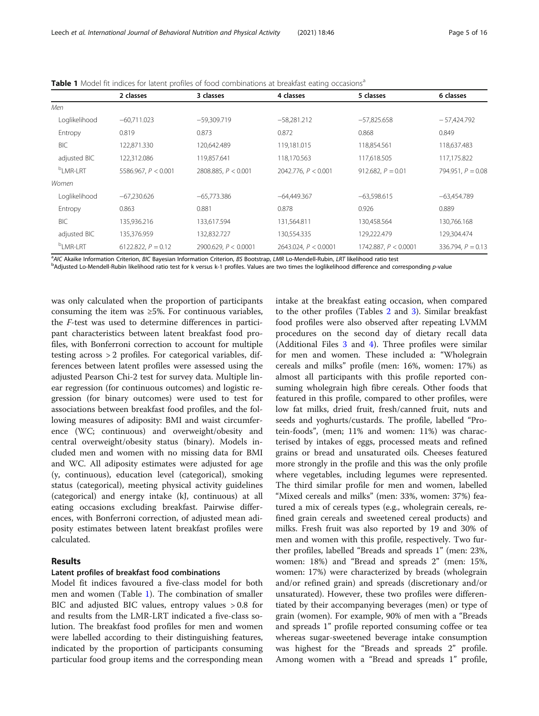|                        | 2 classes             | 3 classes              | 4 classes              | 5 classes              | 6 classes           |
|------------------------|-----------------------|------------------------|------------------------|------------------------|---------------------|
| Men                    |                       |                        |                        |                        |                     |
| Loglikelihood          | $-60.711.023$         | $-59.309.719$          | $-58.281.212$          | $-57.825.658$          | $-57,424.792$       |
| Entropy                | 0.819                 | 0.873                  | 0.872                  | 0.868                  | 0.849               |
| BIC                    | 122.871.330           | 120,642.489            | 119,181.015            | 118,854.561            | 118,637.483         |
| adjusted BIC           | 122,312.086           | 119,857.641            | 118,170.563            | 117,618.505            | 117,175.822         |
| <sup>b</sup> I MR-I RT | 5586.967, $P < 0.001$ | 2808.885, $P < 0.001$  | 2042.776, $P < 0.001$  | 912.682, $P = 0.01$    | 794.951, $P = 0.08$ |
| Women                  |                       |                        |                        |                        |                     |
| Loglikelihood          | $-67.230.626$         | $-65.773.386$          | $-64,449,367$          | $-63.598.615$          | $-63.454.789$       |
| Entropy                | 0.863                 | 0.881                  | 0.878                  | 0.926                  | 0.889               |
| BIC                    | 135,936.216           | 133,617.594            | 131,564.811            | 130.458.564            | 130.766.168         |
| adjusted BIC           | 135.376.959           | 132,832.727            | 130,554.335            | 129,222.479            | 129.304.474         |
| <sup>b</sup> LMR-LRT   | 6122.822, $P = 0.12$  | 2900.629, $P < 0.0001$ | 2643.024, $P < 0.0001$ | 1742.887, $P < 0.0001$ | 336.794, $P = 0.13$ |
|                        |                       |                        |                        |                        |                     |

<span id="page-4-0"></span>Table 1 Model fit indices for latent profiles of food combinations at breakfast eating occasions<sup>a</sup>

<sup>a</sup> AIC Akaike Information Criterion, BIC Bayesian Information Criterion, BS Bootstrap, LMR Lo-Mendell-Rubin, LRT likelihood ratio test by a state of the local state of the local state of the local state of the local diffe

<sup>b</sup>Adjusted Lo-Mendell-Rubin likelihood ratio test for k versus k-1 profiles. Values are two times the loglikelihood difference and corresponding p-value

was only calculated when the proportion of participants consuming the item was ≥5%. For continuous variables, the F-test was used to determine differences in participant characteristics between latent breakfast food profiles, with Bonferroni correction to account for multiple testing across > 2 profiles. For categorical variables, differences between latent profiles were assessed using the adjusted Pearson Chi-2 test for survey data. Multiple linear regression (for continuous outcomes) and logistic regression (for binary outcomes) were used to test for associations between breakfast food profiles, and the following measures of adiposity: BMI and waist circumference (WC; continuous) and overweight/obesity and central overweight/obesity status (binary). Models included men and women with no missing data for BMI and WC. All adiposity estimates were adjusted for age (y, continuous), education level (categorical), smoking status (categorical), meeting physical activity guidelines (categorical) and energy intake (kJ, continuous) at all eating occasions excluding breakfast. Pairwise differences, with Bonferroni correction, of adjusted mean adiposity estimates between latent breakfast profiles were calculated.

#### Results

#### Latent profiles of breakfast food combinations

Model fit indices favoured a five-class model for both men and women (Table 1). The combination of smaller BIC and adjusted BIC values, entropy values > 0.8 for and results from the LMR-LRT indicated a five-class solution. The breakfast food profiles for men and women were labelled according to their distinguishing features, indicated by the proportion of participants consuming particular food group items and the corresponding mean

intake at the breakfast eating occasion, when compared to the other profiles (Tables [2](#page-5-0) and [3\)](#page-7-0). Similar breakfast food profiles were also observed after repeating LVMM procedures on the second day of dietary recall data (Additional Files [3](#page-14-0) and [4](#page-14-0)). Three profiles were similar for men and women. These included a: "Wholegrain cereals and milks" profile (men: 16%, women: 17%) as almost all participants with this profile reported consuming wholegrain high fibre cereals. Other foods that featured in this profile, compared to other profiles, were low fat milks, dried fruit, fresh/canned fruit, nuts and seeds and yoghurts/custards. The profile, labelled "Protein-foods", (men; 11% and women: 11%) was characterised by intakes of eggs, processed meats and refined grains or bread and unsaturated oils. Cheeses featured more strongly in the profile and this was the only profile where vegetables, including legumes were represented. The third similar profile for men and women, labelled "Mixed cereals and milks" (men: 33%, women: 37%) featured a mix of cereals types (e.g., wholegrain cereals, refined grain cereals and sweetened cereal products) and milks. Fresh fruit was also reported by 19 and 30% of men and women with this profile, respectively. Two further profiles, labelled "Breads and spreads 1" (men: 23%, women: 18%) and "Bread and spreads 2" (men: 15%, women: 17%) were characterized by breads (wholegrain and/or refined grain) and spreads (discretionary and/or unsaturated). However, these two profiles were differentiated by their accompanying beverages (men) or type of grain (women). For example, 90% of men with a "Breads and spreads 1" profile reported consuming coffee or tea whereas sugar-sweetened beverage intake consumption was highest for the "Breads and spreads 2" profile. Among women with a "Bread and spreads 1" profile,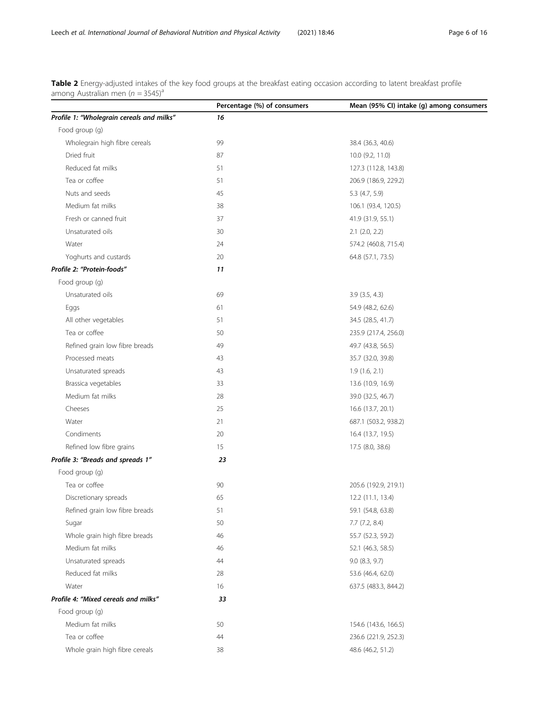<span id="page-5-0"></span>Table 2 Energy-adjusted intakes of the key food groups at the breakfast eating occasion according to latent breakfast profile among Australian men ( $n = 3545$ <sup>a</sup>

|                                           | Percentage (%) of consumers | Mean (95% CI) intake (g) among consumers |
|-------------------------------------------|-----------------------------|------------------------------------------|
| Profile 1: "Wholegrain cereals and milks" | 16                          |                                          |
| Food group (g)                            |                             |                                          |
| Wholegrain high fibre cereals             | 99                          | 38.4 (36.3, 40.6)                        |
| Dried fruit                               | 87                          | 10.0 (9.2, 11.0)                         |
| Reduced fat milks                         | 51                          | 127.3 (112.8, 143.8)                     |
| Tea or coffee                             | 51                          | 206.9 (186.9, 229.2)                     |
| Nuts and seeds                            | 45                          | 5.3 (4.7, 5.9)                           |
| Medium fat milks                          | 38                          | 106.1 (93.4, 120.5)                      |
| Fresh or canned fruit                     | 37                          | 41.9 (31.9, 55.1)                        |
| Unsaturated oils                          | 30                          | $2.1$ $(2.0, 2.2)$                       |
| Water                                     | 24                          | 574.2 (460.8, 715.4)                     |
| Yoghurts and custards                     | 20                          | 64.8 (57.1, 73.5)                        |
| Profile 2: "Protein-foods"                | 11                          |                                          |
| Food group (g)                            |                             |                                          |
| Unsaturated oils                          | 69                          | $3.9$ $(3.5, 4.3)$                       |
| Eggs                                      | 61                          | 54.9 (48.2, 62.6)                        |
| All other vegetables                      | 51                          | 34.5 (28.5, 41.7)                        |
| Tea or coffee                             | 50                          | 235.9 (217.4, 256.0)                     |
| Refined grain low fibre breads            | 49                          | 49.7 (43.8, 56.5)                        |
| Processed meats                           | 43                          | 35.7 (32.0, 39.8)                        |
| Unsaturated spreads                       | 43                          | 1.9(1.6, 2.1)                            |
| Brassica vegetables                       | 33                          | 13.6 (10.9, 16.9)                        |
| Medium fat milks                          | 28                          | 39.0 (32.5, 46.7)                        |
| Cheeses                                   | 25                          | 16.6 (13.7, 20.1)                        |
| Water                                     | 21                          | 687.1 (503.2, 938.2)                     |
| Condiments                                | 20                          | 16.4 (13.7, 19.5)                        |
| Refined low fibre grains                  | 15                          | 17.5 (8.0, 38.6)                         |
| Profile 3: "Breads and spreads 1"         | 23                          |                                          |
| Food group (g)                            |                             |                                          |
| Tea or coffee                             | 90                          | 205.6 (192.9, 219.1)                     |
| Discretionary spreads                     | 65                          | 12.2 (11.1, 13.4)                        |
| Refined grain low fibre breads            | 51                          | 59.1 (54.8, 63.8)                        |
| Sugar                                     | 50                          | $7.7$ $(7.2, 8.4)$                       |
| Whole grain high fibre breads             | 46                          | 55.7 (52.3, 59.2)                        |
| Medium fat milks                          | 46                          | 52.1 (46.3, 58.5)                        |
| Unsaturated spreads                       | 44                          | 9.0 (8.3, 9.7)                           |
| Reduced fat milks                         | 28                          | 53.6 (46.4, 62.0)                        |
| Water                                     | 16                          | 637.5 (483.3, 844.2)                     |
| Profile 4: "Mixed cereals and milks"      | 33                          |                                          |
| Food group (g)                            |                             |                                          |
| Medium fat milks                          | 50                          | 154.6 (143.6, 166.5)                     |
| Tea or coffee                             | 44                          | 236.6 (221.9, 252.3)                     |
| Whole grain high fibre cereals            | 38                          | 48.6 (46.2, 51.2)                        |
|                                           |                             |                                          |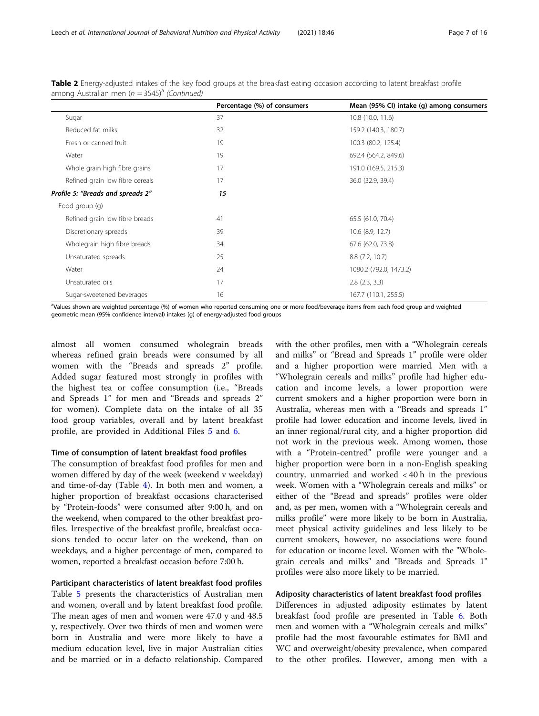|                                   | Percentage (%) of consumers | Mean (95% CI) intake (g) among consumers |
|-----------------------------------|-----------------------------|------------------------------------------|
| Sugar                             | 37                          | 10.8 (10.0, 11.6)                        |
| Reduced fat milks                 | 32                          | 159.2 (140.3, 180.7)                     |
| Fresh or canned fruit             | 19                          | 100.3 (80.2, 125.4)                      |
| Water                             | 19                          | 692.4 (564.2, 849.6)                     |
| Whole grain high fibre grains     | 17                          | 191.0 (169.5, 215.3)                     |
| Refined grain low fibre cereals   | 17                          | 36.0 (32.9, 39.4)                        |
| Profile 5: "Breads and spreads 2" | 15                          |                                          |
| Food group (g)                    |                             |                                          |
| Refined grain low fibre breads    | 41                          | 65.5 (61.0, 70.4)                        |
| Discretionary spreads             | 39                          | 10.6 (8.9, 12.7)                         |
| Wholegrain high fibre breads      | 34                          | 67.6 (62.0, 73.8)                        |
| Unsaturated spreads               | 25                          | 8.8(7.2, 10.7)                           |
| Water                             | 24                          | 1080.2 (792.0, 1473.2)                   |
| Unsaturated oils                  | 17                          | $2.8$ $(2.3, 3.3)$                       |
| Sugar-sweetened beverages         | 16                          | 167.7 (110.1, 255.5)                     |

Table 2 Energy-adjusted intakes of the key food groups at the breakfast eating occasion according to latent breakfast profile among Australian men ( $n = 3545$ <sup>a</sup> (Continued)

a Values shown are weighted percentage (%) of women who reported consuming one or more food/beverage items from each food group and weighted geometric mean (95% confidence interval) intakes (g) of energy-adjusted food groups

almost all women consumed wholegrain breads whereas refined grain breads were consumed by all women with the "Breads and spreads 2" profile. Added sugar featured most strongly in profiles with the highest tea or coffee consumption (i.e., "Breads and Spreads 1" for men and "Breads and spreads 2" for women). Complete data on the intake of all 35 food group variables, overall and by latent breakfast profile, are provided in Additional Files [5](#page-14-0) and [6](#page-14-0).

#### Time of consumption of latent breakfast food profiles

The consumption of breakfast food profiles for men and women differed by day of the week (weekend v weekday) and time-of-day (Table [4\)](#page-9-0). In both men and women, a higher proportion of breakfast occasions characterised by "Protein-foods" were consumed after 9:00 h, and on the weekend, when compared to the other breakfast profiles. Irrespective of the breakfast profile, breakfast occasions tended to occur later on the weekend, than on weekdays, and a higher percentage of men, compared to women, reported a breakfast occasion before 7:00 h.

#### Participant characteristics of latent breakfast food profiles

Table [5](#page-10-0) presents the characteristics of Australian men and women, overall and by latent breakfast food profile. The mean ages of men and women were 47.0 y and 48.5 y, respectively. Over two thirds of men and women were born in Australia and were more likely to have a medium education level, live in major Australian cities and be married or in a defacto relationship. Compared with the other profiles, men with a "Wholegrain cereals and milks" or "Bread and Spreads 1" profile were older and a higher proportion were married. Men with a "Wholegrain cereals and milks" profile had higher education and income levels, a lower proportion were current smokers and a higher proportion were born in Australia, whereas men with a "Breads and spreads 1" profile had lower education and income levels, lived in an inner regional/rural city, and a higher proportion did not work in the previous week. Among women, those with a "Protein-centred" profile were younger and a higher proportion were born in a non-English speaking country, unmarried and worked < 40 h in the previous week. Women with a "Wholegrain cereals and milks" or either of the "Bread and spreads" profiles were older and, as per men, women with a "Wholegrain cereals and milks profile" were more likely to be born in Australia, meet physical activity guidelines and less likely to be current smokers, however, no associations were found for education or income level. Women with the "Wholegrain cereals and milks" and "Breads and Spreads 1" profiles were also more likely to be married.

#### Adiposity characteristics of latent breakfast food profiles

Differences in adjusted adiposity estimates by latent breakfast food profile are presented in Table [6.](#page-12-0) Both men and women with a "Wholegrain cereals and milks" profile had the most favourable estimates for BMI and WC and overweight/obesity prevalence, when compared to the other profiles. However, among men with a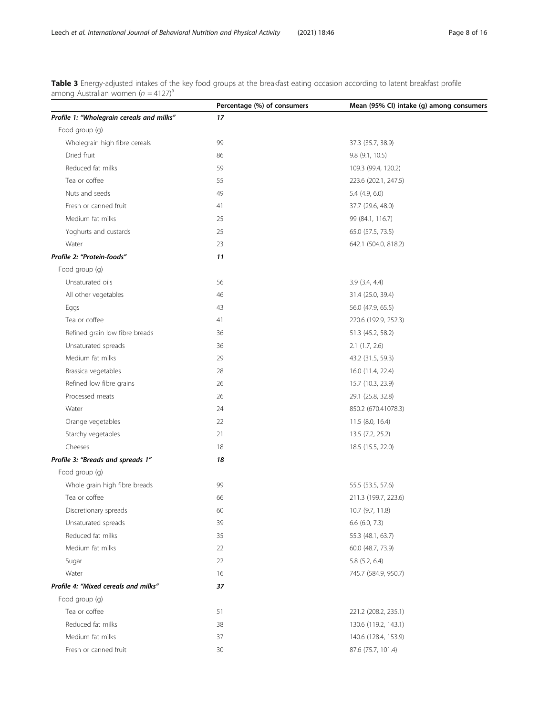<span id="page-7-0"></span>Table 3 Energy-adjusted intakes of the key food groups at the breakfast eating occasion according to latent breakfast profile among Australian women  $(n = 4127)^a$ 

|                                           | Percentage (%) of consumers | Mean (95% CI) intake (g) among consumers |
|-------------------------------------------|-----------------------------|------------------------------------------|
| Profile 1: "Wholegrain cereals and milks" | 17                          |                                          |
| Food group (g)                            |                             |                                          |
| Wholegrain high fibre cereals             | 99                          | 37.3 (35.7, 38.9)                        |
| Dried fruit                               | 86                          | 9.8 (9.1, 10.5)                          |
| Reduced fat milks                         | 59                          | 109.3 (99.4, 120.2)                      |
| Tea or coffee                             | 55                          | 223.6 (202.1, 247.5)                     |
| Nuts and seeds                            | 49                          | $5.4$ (4.9, 6.0)                         |
| Fresh or canned fruit                     | 41                          | 37.7 (29.6, 48.0)                        |
| Medium fat milks                          | 25                          | 99 (84.1, 116.7)                         |
| Yoghurts and custards                     | 25                          | 65.0 (57.5, 73.5)                        |
| Water                                     | 23                          | 642.1 (504.0, 818.2)                     |
| Profile 2: "Protein-foods"                | 11                          |                                          |
| Food group (g)                            |                             |                                          |
| Unsaturated oils                          | 56                          | $3.9$ $(3.4, 4.4)$                       |
| All other vegetables                      | 46                          | 31.4 (25.0, 39.4)                        |
| Eggs                                      | 43                          | 56.0 (47.9, 65.5)                        |
| Tea or coffee                             | 41                          | 220.6 (192.9, 252.3)                     |
| Refined grain low fibre breads            | 36                          | 51.3 (45.2, 58.2)                        |
| Unsaturated spreads                       | 36                          | $2.1$ $(1.7, 2.6)$                       |
| Medium fat milks                          | 29                          | 43.2 (31.5, 59.3)                        |
| Brassica vegetables                       | 28                          | 16.0 (11.4, 22.4)                        |
| Refined low fibre grains                  | 26                          | 15.7 (10.3, 23.9)                        |
| Processed meats                           | 26                          | 29.1 (25.8, 32.8)                        |
| Water                                     | 24                          | 850.2 (670.41078.3)                      |
| Orange vegetables                         | 22                          | 11.5 (8.0, 16.4)                         |
| Starchy vegetables                        | 21                          | 13.5 (7.2, 25.2)                         |
| Cheeses                                   | 18                          | 18.5 (15.5, 22.0)                        |
| Profile 3: "Breads and spreads 1"         | 18                          |                                          |
| Food group (g)                            |                             |                                          |
| Whole grain high fibre breads             | 99                          | 55.5 (53.5, 57.6)                        |
| Tea or coffee                             | 66                          | 211.3 (199.7, 223.6)                     |
| Discretionary spreads                     | 60                          | 10.7 (9.7, 11.8)                         |
| Unsaturated spreads                       | 39                          | 6.6 (6.0, 7.3)                           |
| Reduced fat milks                         | 35                          | 55.3 (48.1, 63.7)                        |
| Medium fat milks                          | 22                          | 60.0 (48.7, 73.9)                        |
| Sugar                                     | 22                          | $5.8$ $(5.2, 6.4)$                       |
| Water                                     | 16                          | 745.7 (584.9, 950.7)                     |
| Profile 4: "Mixed cereals and milks"      | 37                          |                                          |
| Food group (q)                            |                             |                                          |
| Tea or coffee                             | 51                          | 221.2 (208.2, 235.1)                     |
| Reduced fat milks                         | 38                          | 130.6 (119.2, 143.1)                     |
| Medium fat milks                          | 37                          | 140.6 (128.4, 153.9)                     |
| Fresh or canned fruit                     | 30                          | 87.6 (75.7, 101.4)                       |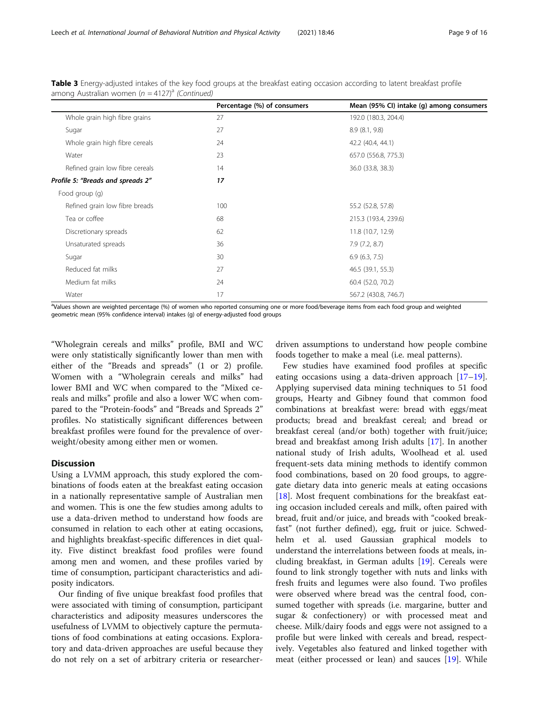|                                   | Percentage (%) of consumers | Mean (95% CI) intake (g) among consumers |
|-----------------------------------|-----------------------------|------------------------------------------|
| Whole grain high fibre grains     | 27                          | 192.0 (180.3, 204.4)                     |
| Sugar                             | 27                          | 8.9 (8.1, 9.8)                           |
| Whole grain high fibre cereals    | 24                          | 42.2 (40.4, 44.1)                        |
| Water                             | 23                          | 657.0 (556.8, 775.3)                     |
| Refined grain low fibre cereals   | 14                          | 36.0 (33.8, 38.3)                        |
| Profile 5: "Breads and spreads 2" | 17                          |                                          |
| Food group (g)                    |                             |                                          |
| Refined grain low fibre breads    | 100                         | 55.2 (52.8, 57.8)                        |
| Tea or coffee                     | 68                          | 215.3 (193.4, 239.6)                     |
| Discretionary spreads             | 62                          | 11.8 (10.7, 12.9)                        |
| Unsaturated spreads               | 36                          | 7.9(7.2, 8.7)                            |
| Sugar                             | 30                          | 6.9(6.3, 7.5)                            |
| Reduced fat milks                 | 27                          | 46.5 (39.1, 55.3)                        |
| Medium fat milks                  | 24                          | 60.4 (52.0, 70.2)                        |
| Water                             | 17                          | 567.2 (430.8, 746.7)                     |

Table 3 Energy-adjusted intakes of the key food groups at the breakfast eating occasion according to latent breakfast profile among Australian women ( $n = 4127$ <sup>a</sup> (Continued)

a Values shown are weighted percentage (%) of women who reported consuming one or more food/beverage items from each food group and weighted geometric mean (95% confidence interval) intakes (g) of energy-adjusted food groups

"Wholegrain cereals and milks" profile, BMI and WC were only statistically significantly lower than men with either of the "Breads and spreads" (1 or 2) profile. Women with a "Wholegrain cereals and milks" had lower BMI and WC when compared to the "Mixed cereals and milks" profile and also a lower WC when compared to the "Protein-foods" and "Breads and Spreads 2" profiles. No statistically significant differences between breakfast profiles were found for the prevalence of overweight/obesity among either men or women.

#### **Discussion**

Using a LVMM approach, this study explored the combinations of foods eaten at the breakfast eating occasion in a nationally representative sample of Australian men and women. This is one the few studies among adults to use a data-driven method to understand how foods are consumed in relation to each other at eating occasions, and highlights breakfast-specific differences in diet quality. Five distinct breakfast food profiles were found among men and women, and these profiles varied by time of consumption, participant characteristics and adiposity indicators.

Our finding of five unique breakfast food profiles that were associated with timing of consumption, participant characteristics and adiposity measures underscores the usefulness of LVMM to objectively capture the permutations of food combinations at eating occasions. Exploratory and data-driven approaches are useful because they do not rely on a set of arbitrary criteria or researcherdriven assumptions to understand how people combine foods together to make a meal (i.e. meal patterns).

Few studies have examined food profiles at specific eating occasions using a data-driven approach [[17](#page-14-0)–[19](#page-14-0)]. Applying supervised data mining techniques to 51 food groups, Hearty and Gibney found that common food combinations at breakfast were: bread with eggs/meat products; bread and breakfast cereal; and bread or breakfast cereal (and/or both) together with fruit/juice; bread and breakfast among Irish adults [[17\]](#page-14-0). In another national study of Irish adults, Woolhead et al. used frequent-sets data mining methods to identify common food combinations, based on 20 food groups, to aggregate dietary data into generic meals at eating occasions [[18\]](#page-14-0). Most frequent combinations for the breakfast eating occasion included cereals and milk, often paired with bread, fruit and/or juice, and breads with "cooked breakfast" (not further defined), egg, fruit or juice. Schwedhelm et al. used Gaussian graphical models to understand the interrelations between foods at meals, including breakfast, in German adults [\[19](#page-14-0)]. Cereals were found to link strongly together with nuts and links with fresh fruits and legumes were also found. Two profiles were observed where bread was the central food, consumed together with spreads (i.e. margarine, butter and sugar & confectionery) or with processed meat and cheese. Milk/dairy foods and eggs were not assigned to a profile but were linked with cereals and bread, respectively. Vegetables also featured and linked together with meat (either processed or lean) and sauces [\[19](#page-14-0)]. While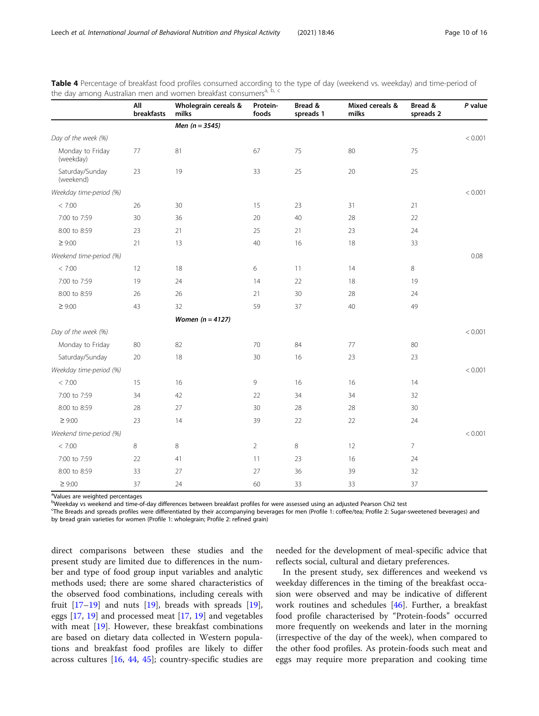|                               | All<br>breakfasts | Wholegrain cereals &<br>milks | Protein-<br>foods | Bread &<br>spreads 1 | Mixed cereals &<br>milks | Bread &<br>spreads 2 | P value |
|-------------------------------|-------------------|-------------------------------|-------------------|----------------------|--------------------------|----------------------|---------|
|                               |                   | Men $(n = 3545)$              |                   |                      |                          |                      |         |
| Day of the week (%)           |                   |                               |                   |                      |                          |                      | < 0.001 |
| Monday to Friday<br>(weekday) | $77 \,$           | 81                            | 67                | 75                   | 80                       | 75                   |         |
| Saturday/Sunday<br>(weekend)  | 23                | 19                            | 33                | 25                   | 20                       | 25                   |         |
| Weekday time-period (%)       |                   |                               |                   |                      |                          |                      | < 0.001 |
| < 7:00                        | 26                | 30                            | 15                | 23                   | 31                       | 21                   |         |
| 7:00 to 7:59                  | 30                | 36                            | 20                | 40                   | 28                       | 22                   |         |
| 8:00 to 8:59                  | 23                | 21                            | 25                | 21                   | 23                       | 24                   |         |
| $\geq 9:00$                   | 21                | 13                            | 40                | 16                   | 18                       | 33                   |         |
| Weekend time-period (%)       |                   |                               |                   |                      |                          |                      | 0.08    |
| < 7:00                        | 12                | 18                            | 6                 | 11                   | 14                       | 8                    |         |
| 7:00 to 7:59                  | 19                | 24                            | 14                | 22                   | 18                       | 19                   |         |
| 8:00 to 8:59                  | 26                | 26                            | 21                | 30                   | 28                       | 24                   |         |
| $\geq 9:00$                   | 43                | 32                            | 59                | 37                   | 40                       | 49                   |         |
|                               |                   | Women $(n = 4127)$            |                   |                      |                          |                      |         |
| Day of the week (%)           |                   |                               |                   |                      |                          |                      | < 0.001 |
| Monday to Friday              | 80                | 82                            | 70                | 84                   | 77                       | 80                   |         |
| Saturday/Sunday               | 20                | 18                            | 30                | 16                   | 23                       | 23                   |         |
| Weekday time-period (%)       |                   |                               |                   |                      |                          |                      | < 0.001 |
| < 7:00                        | 15                | 16                            | 9                 | 16                   | 16                       | 14                   |         |
| 7:00 to 7:59                  | 34                | 42                            | 22                | 34                   | 34                       | 32                   |         |
| 8:00 to 8:59                  | 28                | 27                            | 30                | 28                   | 28                       | 30                   |         |
| $\geq 9:00$                   | 23                | 14                            | 39                | 22                   | 22                       | 24                   |         |
| Weekend time-period (%)       |                   |                               |                   |                      |                          |                      | < 0.001 |
| < 7:00                        | 8                 | 8                             | $\overline{2}$    | 8                    | 12                       | $\overline{7}$       |         |
| 7:00 to 7:59                  | 22                | 41                            | 11                | 23                   | 16                       | 24                   |         |
| 8:00 to 8:59                  | 33                | 27                            | 27                | 36                   | 39                       | 32                   |         |
| $\geq 9:00$                   | 37                | 24                            | 60                | 33                   | 33                       | 37                   |         |

<span id="page-9-0"></span>Table 4 Percentage of breakfast food profiles consumed according to the type of day (weekend vs. weekday) and time-period of the day among Australian men and women breakfast consumers<sup>a, b, c</sup>

<sup>a</sup>Values are weighted percentages

b<br>Weekday vs weekend and time-of-day differences between breakfast profiles for were assessed using an adjusted Pearson Chi2 test

c The Breads and spreads profiles were differentiated by their accompanying beverages for men (Profile 1: coffee/tea; Profile 2: Sugar-sweetened beverages) and by bread grain varieties for women (Profile 1: wholegrain; Profile 2: refined grain)

direct comparisons between these studies and the present study are limited due to differences in the number and type of food group input variables and analytic methods used; there are some shared characteristics of the observed food combinations, including cereals with fruit  $[17-19]$  $[17-19]$  $[17-19]$  and nuts  $[19]$ , breads with spreads  $[19]$  $[19]$ , eggs [[17](#page-14-0), [19\]](#page-14-0) and processed meat [[17](#page-14-0), [19\]](#page-14-0) and vegetables with meat  $[19]$  $[19]$  $[19]$ . However, these breakfast combinations are based on dietary data collected in Western populations and breakfast food profiles are likely to differ across cultures [[16](#page-14-0), [44](#page-15-0), [45](#page-15-0)]; country-specific studies are needed for the development of meal-specific advice that reflects social, cultural and dietary preferences.

In the present study, sex differences and weekend vs weekday differences in the timing of the breakfast occasion were observed and may be indicative of different work routines and schedules [\[46\]](#page-15-0). Further, a breakfast food profile characterised by "Protein-foods" occurred more frequently on weekends and later in the morning (irrespective of the day of the week), when compared to the other food profiles. As protein-foods such meat and eggs may require more preparation and cooking time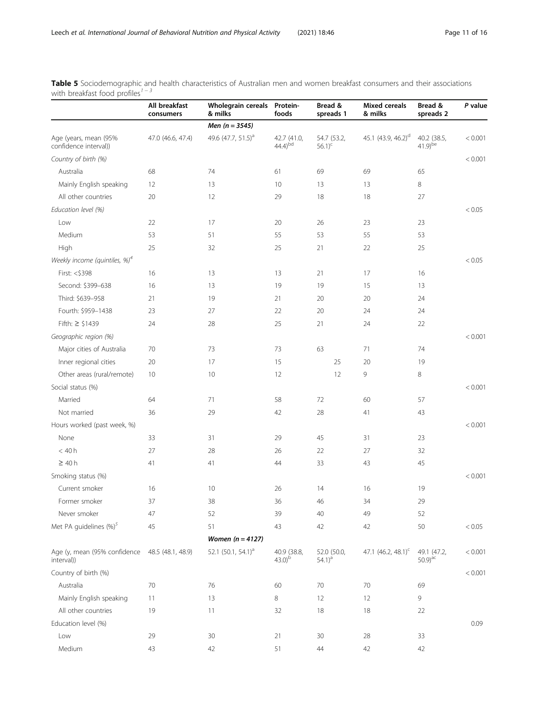|                                                        | All breakfast<br>consumers | Wholegrain cereals Protein-<br>& milks | foods                        | Bread &<br>spreads 1               | <b>Mixed cereals</b><br>& milks | Bread &<br>spreads 2        | P value |
|--------------------------------------------------------|----------------------------|----------------------------------------|------------------------------|------------------------------------|---------------------------------|-----------------------------|---------|
|                                                        |                            | Men $(n = 3545)$                       |                              |                                    |                                 |                             |         |
| Age (years, mean (95%<br>confidence interval))         | 47.0 (46.6, 47.4)          | 49.6 (47.7, 51.5) <sup>a</sup>         | 42.7 (41.0,<br>$(44.4)^{bd}$ | 54.7 (53.2,<br>$56.1$ <sup>c</sup> | 45.1 (43.9, 46.2) <sup>d</sup>  | 40.2 (38.5,<br>$41.9)$ be   | < 0.001 |
| Country of birth (%)                                   |                            |                                        |                              |                                    |                                 |                             | < 0.001 |
| Australia                                              | 68                         | 74                                     | 61                           | 69                                 | 69                              | 65                          |         |
| Mainly English speaking                                | 12                         | 13                                     | 10                           | 13                                 | 13                              | 8                           |         |
| All other countries                                    | 20                         | 12                                     | 29                           | 18                                 | 18                              | 27                          |         |
| Education level (%)                                    |                            |                                        |                              |                                    |                                 |                             | < 0.05  |
| Low                                                    | 22                         | 17                                     | 20                           | 26                                 | 23                              | 23                          |         |
| Medium                                                 | 53                         | 51                                     | 55                           | 53                                 | 55                              | 53                          |         |
| High                                                   | 25                         | 32                                     | 25                           | 21                                 | 22                              | 25                          |         |
| Weekly income (quintiles, $\frac{1}{2}$ ) <sup>4</sup> |                            |                                        |                              |                                    |                                 |                             | < 0.05  |
| First: <\$398                                          | 16                         | 13                                     | 13                           | 21                                 | 17                              | 16                          |         |
| Second: \$399-638                                      | 16                         | 13                                     | 19                           | 19                                 | 15                              | 13                          |         |
| Third: \$639-958                                       | 21                         | 19                                     | 21                           | 20                                 | 20                              | 24                          |         |
| Fourth: \$959-1438                                     | 23                         | 27                                     | 22                           | 20                                 | 24                              | 24                          |         |
| Fifth: ≥ \$1439                                        | 24                         | 28                                     | 25                           | 21                                 | 24                              | 22                          |         |
| Geographic region (%)                                  |                            |                                        |                              |                                    |                                 |                             | < 0.001 |
| Major cities of Australia                              | 70                         | 73                                     | 73                           | 63                                 | 71                              | 74                          |         |
| Inner regional cities                                  | 20                         | 17                                     | 15                           | 25                                 | 20                              | 19                          |         |
| Other areas (rural/remote)                             | 10                         | 10                                     | 12                           | 12                                 | 9                               | 8                           |         |
| Social status (%)                                      |                            |                                        |                              |                                    |                                 |                             | < 0.001 |
| Married                                                | 64                         | 71                                     | 58                           | 72                                 | 60                              | 57                          |         |
| Not married                                            | 36                         | 29                                     | 42                           | 28                                 | 41                              | 43                          |         |
| Hours worked (past week, %)                            |                            |                                        |                              |                                    |                                 |                             | < 0.001 |
| None                                                   | 33                         | 31                                     | 29                           | 45                                 | 31                              | 23                          |         |
| $<$ 40 $h$                                             | 27                         | 28                                     | 26                           | 22                                 | 27                              | 32                          |         |
| $\geq 40h$                                             | 41                         | 41                                     | 44                           | 33                                 | 43                              | 45                          |         |
| Smoking status (%)                                     |                            |                                        |                              |                                    |                                 |                             | < 0.001 |
| Current smoker                                         | 16                         | 10                                     | 26                           | 14                                 | 16                              | 19                          |         |
| Former smoker                                          | 37                         | 38                                     | 36                           | 46                                 | 34                              | 29                          |         |
| Never smoker                                           | 47                         | 52                                     | 39                           | 40                                 | 49                              | 52                          |         |
| Met PA guidelines (%) <sup>5</sup>                     | 45                         | 51                                     | 43                           | 42                                 | 42                              | 50                          | < 0.05  |
|                                                        |                            | Women $(n = 4127)$                     |                              |                                    |                                 |                             |         |
| Age (y, mean (95% confidence<br>interval))             | 48.5 (48.1, 48.9)          | 52.1 (50.1, 54.1) <sup>a</sup>         | 40.9 (38.8,<br>$(43.0)^{b}$  | 52.0 (50.0,<br>$(54.1)^{a}$        | 47.1 (46.2, 48.1) <sup>c</sup>  | 49.1 (47.2,<br>$50.9)^{ac}$ | < 0.001 |
| Country of birth (%)                                   |                            |                                        |                              |                                    |                                 |                             | < 0.001 |
| Australia                                              | 70                         | 76                                     | 60                           | 70                                 | 70                              | 69                          |         |
| Mainly English speaking                                | 11                         | 13                                     | 8                            | 12                                 | 12                              | 9                           |         |
| All other countries                                    | 19                         | 11                                     | 32                           | 18                                 | 18                              | 22                          |         |
| Education level (%)                                    |                            |                                        |                              |                                    |                                 |                             | 0.09    |
| Low                                                    | 29                         | 30 <sub>o</sub>                        | 21                           | $30\,$                             | 28                              | 33                          |         |

Medium 43 42 51 44 42 42

<span id="page-10-0"></span>Table 5 Sociodemographic and health characteristics of Australian men and women breakfast consumers and their associations with breakfast food profiles<sup> $1-3$ </sup>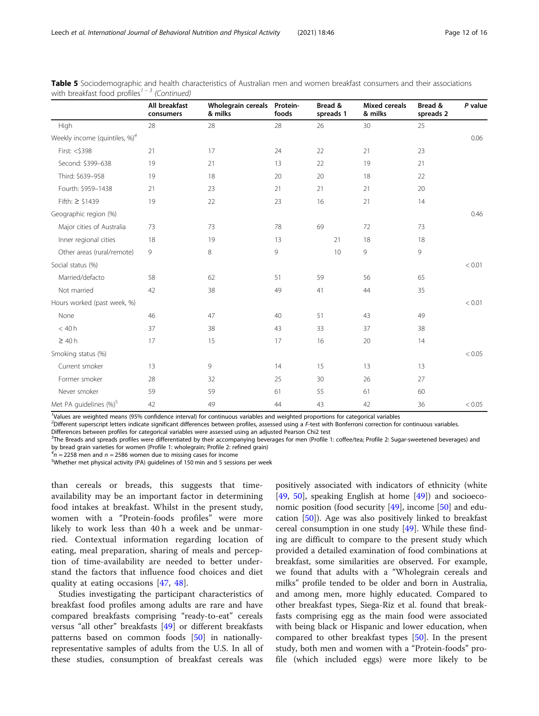|                                           | All breakfast<br>consumers | Wholegrain cereals Protein-<br>& milks | foods | Bread &<br>spreads 1 | <b>Mixed cereals</b><br>& milks | Bread &<br>spreads 2 | P value |
|-------------------------------------------|----------------------------|----------------------------------------|-------|----------------------|---------------------------------|----------------------|---------|
| High                                      | 28                         | 28                                     | 28    | 26                   | 30                              | 25                   |         |
| Weekly income (quintiles, %) <sup>4</sup> |                            |                                        |       |                      |                                 |                      | 0.06    |
| First: <\$398                             | 21                         | 17                                     | 24    | 22                   | 21                              | 23                   |         |
| Second: \$399-638                         | 19                         | 21                                     | 13    | 22                   | 19                              | 21                   |         |
| Third: \$639-958                          | 19                         | 18                                     | 20    | 20                   | 18                              | 22                   |         |
| Fourth: \$959-1438                        | 21                         | 23                                     | 21    | 21                   | 21                              | 20                   |         |
| Fifth: ≥ \$1439                           | 19                         | 22                                     | 23    | 16                   | 21                              | 14                   |         |
| Geographic region (%)                     |                            |                                        |       |                      |                                 |                      | 0.46    |
| Major cities of Australia                 | 73                         | 73                                     | 78    | 69                   | 72                              | 73                   |         |
| Inner regional cities                     | 18                         | 19                                     | 13    | 21                   | 18                              | 18                   |         |
| Other areas (rural/remote)                | 9                          | 8                                      | 9     | 10                   | 9                               | 9                    |         |
| Social status (%)                         |                            |                                        |       |                      |                                 |                      | < 0.01  |
| Married/defacto                           | 58                         | 62                                     | 51    | 59                   | 56                              | 65                   |         |
| Not married                               | 42                         | 38                                     | 49    | 41                   | 44                              | 35                   |         |
| Hours worked (past week, %)               |                            |                                        |       |                      |                                 |                      | < 0.01  |
| None                                      | 46                         | 47                                     | 40    | 51                   | 43                              | 49                   |         |
| $<$ 40 $h$                                | 37                         | 38                                     | 43    | 33                   | 37                              | 38                   |         |
| $\geq 40h$                                | 17                         | 15                                     | 17    | 16                   | 20                              | 14                   |         |
| Smoking status (%)                        |                            |                                        |       |                      |                                 |                      | < 0.05  |
| Current smoker                            | 13                         | 9                                      | 14    | 15                   | 13                              | 13                   |         |
| Former smoker                             | 28                         | 32                                     | 25    | 30                   | 26                              | 27                   |         |
| Never smoker                              | 59                         | 59                                     | 61    | 55                   | 61                              | 60                   |         |
| Met PA guidelines (%) <sup>5</sup>        | 42                         | 49                                     | 44    | 43                   | 42                              | 36                   | < 0.05  |

Table 5 Sociodemographic and health characteristics of Australian men and women breakfast consumers and their associations with breakfast food profiles<sup> $1 - 3$ </sup> (Continued)

1 Values are weighted means (95% confidence interval) for continuous variables and weighted proportions for categorical variables

<sup>2</sup>Different superscript letters indicate significant differences between profiles, assessed using a F-test with Bonferroni correction for continuous variables.

Differences between profiles for categorical variables were assessed using an adjusted Pearson Chi2 test

<sup>3</sup>The Breads and spreads profiles were differentiated by their accompanying beverages for men (Profile 1: coffee/tea; Profile 2: Sugar-sweetened beverages) and by bread grain varieties for women (Profile 1: wholegrain; Profile 2: refined grain)

 $\frac{4}{1}$  = 2258 men and *n* = 2586 women due to missing cases for income

Whether met physical activity (PA) guidelines of 150 min and 5 sessions per week

than cereals or breads, this suggests that timeavailability may be an important factor in determining food intakes at breakfast. Whilst in the present study, women with a "Protein-foods profiles" were more likely to work less than 40 h a week and be unmarried. Contextual information regarding location of eating, meal preparation, sharing of meals and perception of time-availability are needed to better understand the factors that influence food choices and diet quality at eating occasions [[47,](#page-15-0) [48\]](#page-15-0).

Studies investigating the participant characteristics of breakfast food profiles among adults are rare and have compared breakfasts comprising "ready-to-eat" cereals versus "all other" breakfasts [\[49\]](#page-15-0) or different breakfasts patterns based on common foods [\[50](#page-15-0)] in nationallyrepresentative samples of adults from the U.S. In all of these studies, consumption of breakfast cereals was

positively associated with indicators of ethnicity (white [[49,](#page-15-0) [50](#page-15-0)], speaking English at home [\[49\]](#page-15-0)) and socioeconomic position (food security [[49](#page-15-0)], income [\[50\]](#page-15-0) and education [[50\]](#page-15-0)). Age was also positively linked to breakfast cereal consumption in one study [[49](#page-15-0)]. While these finding are difficult to compare to the present study which provided a detailed examination of food combinations at breakfast, some similarities are observed. For example, we found that adults with a "Wholegrain cereals and milks" profile tended to be older and born in Australia, and among men, more highly educated. Compared to other breakfast types, Siega-Riz et al. found that breakfasts comprising egg as the main food were associated with being black or Hispanic and lower education, when compared to other breakfast types [\[50](#page-15-0)]. In the present study, both men and women with a "Protein-foods" profile (which included eggs) were more likely to be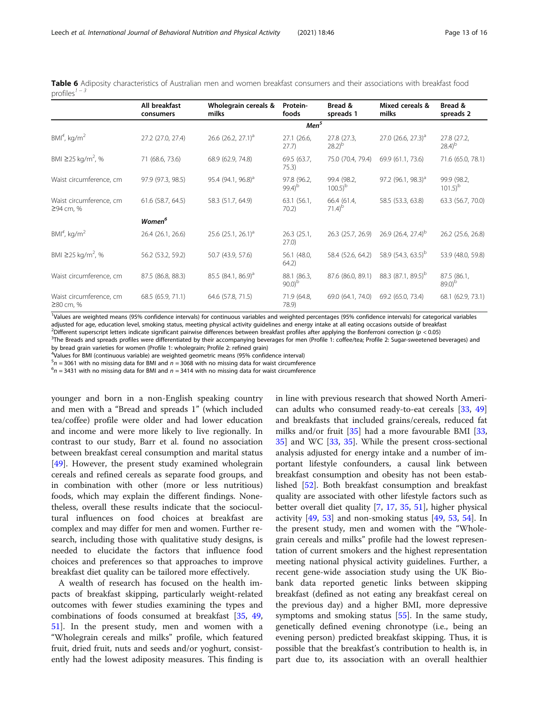<span id="page-12-0"></span>

|                                      | Table 6 Adiposity characteristics of Australian men and women breakfast consumers and their associations with breakfast food |  |  |  |  |  |
|--------------------------------------|------------------------------------------------------------------------------------------------------------------------------|--|--|--|--|--|
| profiles <sup><math>1-3</math></sup> |                                                                                                                              |  |  |  |  |  |

|                                      | All breakfast<br>consumers | Wholegrain cereals &<br>milks | Protein-<br>foods                  | Bread &<br>spreads 1                | Mixed cereals &<br>milks                         | Bread &<br>spreads 2                |
|--------------------------------------|----------------------------|-------------------------------|------------------------------------|-------------------------------------|--------------------------------------------------|-------------------------------------|
|                                      |                            |                               | Men <sup>5</sup>                   |                                     |                                                  |                                     |
| $BM4$ , kg/m <sup>2</sup>            | 27.2 (27.0, 27.4)          | 26.6 $(26.2, 27.1)^a$         | 27.1 (26.6,<br>27.7)               | 27.8 (27.3,<br>$(28.2)^{b}$         | 27.0 $(26.6, 27.3)^a$                            | 27.8 (27.2,<br>$(28.4)^{b}$         |
| BMI ≥25 kg/m <sup>2</sup> , %        | 71 (68.6, 73.6)            | 68.9 (62.9, 74.8)             | 69.5 (63.7,<br>75.3)               | 75.0 (70.4, 79.4)                   | 69.9 (61.1, 73.6)                                | 71.6 (65.0, 78.1)                   |
| Waist circumference, cm              | 97.9 (97.3, 98.5)          | 95.4 $(94.1, 96.8)^{d}$       | 97.8 (96.2,<br>$99.4$ <sup>b</sup> | 99.4 (98.2,<br>$100.5$ <sup>b</sup> | 97.2 $(96.1, 98.3)^{d}$                          | 99.9 (98.2,<br>$101.5$ <sup>b</sup> |
| Waist circumference, cm<br>≥94 cm, % | 61.6 (58.7, 64.5)          | 58.3 (51.7, 64.9)             | 63.1(56.1,<br>70.2)                | 66.4 (61.4,<br>$71.4$ <sup>b</sup>  | 58.5 (53.3, 63.8)                                | 63.3 (56.7, 70.0)                   |
|                                      | <b>Women</b> <sup>6</sup>  |                               |                                    |                                     |                                                  |                                     |
| $BM4$ , kg/m <sup>2</sup>            | 26.4 (26.1, 26.6)          | 25.6 $(25.1, 26.1)^a$         | 26.3(25.1,<br>27.0                 | 26.3 (25.7, 26.9)                   | 26.9 (26.4, 27.4) <sup>b</sup>                   | 26.2 (25.6, 26.8)                   |
| BMI ≥25 kg/m <sup>2</sup> , %        | 56.2 (53.2, 59.2)          | 50.7 (43.9, 57.6)             | 56.1 (48.0,<br>64.2)               | 58.4 (52.6, 64.2)                   | 58.9 $(54.3, 63.5)^b$                            | 53.9 (48.0, 59.8)                   |
| Waist circumference, cm              | 87.5 (86.8, 88.3)          | $85.5(84.1, 86.9)^a$          | 88.1 (86.3,<br>90.0 <sup>b</sup>   |                                     | 87.6 (86.0, 89.1) 88.3 (87.1, 89.5) <sup>b</sup> | 87.5 (86.1,<br>$(89.0)^{b}$         |
| Waist circumference, cm<br>≥80 cm, % | 68.5 (65.9, 71.1)          | 64.6 (57.8, 71.5)             | 71.9 (64.8,<br>78.9)               | 69.0 (64.1, 74.0)                   | 69.2 (65.0, 73.4)                                | 68.1 (62.9, 73.1)                   |

1 Values are weighted means (95% confidence intervals) for continuous variables and weighted percentages (95% confidence intervals) for categorical variables adjusted for age, education level, smoking status, meeting physical activity guidelines and energy intake at all eating occasions outside of breakfast

<sup>2</sup>Different superscript letters indicate significant pairwise differences between breakfast profiles after applying the Bonferroni correction ( $p < 0.05$ )

<sup>3</sup>The Breads and spreads profiles were differentiated by their accompanying beverages for men (Profile 1: coffee/tea; Profile 2: Sugar-sweetened beverages) and by bread grain varieties for women (Profile 1: wholegrain; Profile 2: refined grain)

<sup>4</sup>Values for BMI (continuous variable) are weighted geometric means (95% confidence interval)

 $5n = 3061$  with no missing data for BMI and  $n = 3068$  with no missing data for waist circumference<br> $5n = 2421$  with no missing data for BMI and  $n = 2414$  with no missing data for waist circumference

 $^{6}n = 3431$  with no missing data for BMI and  $n = 3414$  with no missing data for waist circumference

younger and born in a non-English speaking country and men with a "Bread and spreads 1" (which included tea/coffee) profile were older and had lower education and income and were more likely to live regionally. In contrast to our study, Barr et al. found no association between breakfast cereal consumption and marital status [[49\]](#page-15-0). However, the present study examined wholegrain cereals and refined cereals as separate food groups, and in combination with other (more or less nutritious) foods, which may explain the different findings. Nonetheless, overall these results indicate that the sociocultural influences on food choices at breakfast are complex and may differ for men and women. Further research, including those with qualitative study designs, is needed to elucidate the factors that influence food choices and preferences so that approaches to improve breakfast diet quality can be tailored more effectively.

A wealth of research has focused on the health impacts of breakfast skipping, particularly weight-related outcomes with fewer studies examining the types and combinations of foods consumed at breakfast [[35](#page-15-0), [49](#page-15-0), [51\]](#page-15-0). In the present study, men and women with a "Wholegrain cereals and milks" profile, which featured fruit, dried fruit, nuts and seeds and/or yoghurt, consistently had the lowest adiposity measures. This finding is in line with previous research that showed North American adults who consumed ready-to-eat cereals [\[33](#page-15-0), [49](#page-15-0)] and breakfasts that included grains/cereals, reduced fat milks and/or fruit [\[35](#page-15-0)] had a more favourable BMI [[33](#page-15-0), [35\]](#page-15-0) and WC [\[33](#page-15-0), [35\]](#page-15-0). While the present cross-sectional analysis adjusted for energy intake and a number of important lifestyle confounders, a causal link between breakfast consumption and obesity has not been established [[52\]](#page-15-0). Both breakfast consumption and breakfast quality are associated with other lifestyle factors such as better overall diet quality [\[7](#page-14-0), [17,](#page-14-0) [35](#page-15-0), [51\]](#page-15-0), higher physical activity [[49](#page-15-0), [53](#page-15-0)] and non-smoking status [[49,](#page-15-0) [53](#page-15-0), [54\]](#page-15-0). In the present study, men and women with the "Wholegrain cereals and milks" profile had the lowest representation of current smokers and the highest representation meeting national physical activity guidelines. Further, a recent gene-wide association study using the UK Biobank data reported genetic links between skipping breakfast (defined as not eating any breakfast cereal on the previous day) and a higher BMI, more depressive symptoms and smoking status [\[55\]](#page-15-0). In the same study, genetically defined evening chronotype (i.e., being an evening person) predicted breakfast skipping. Thus, it is possible that the breakfast's contribution to health is, in part due to, its association with an overall healthier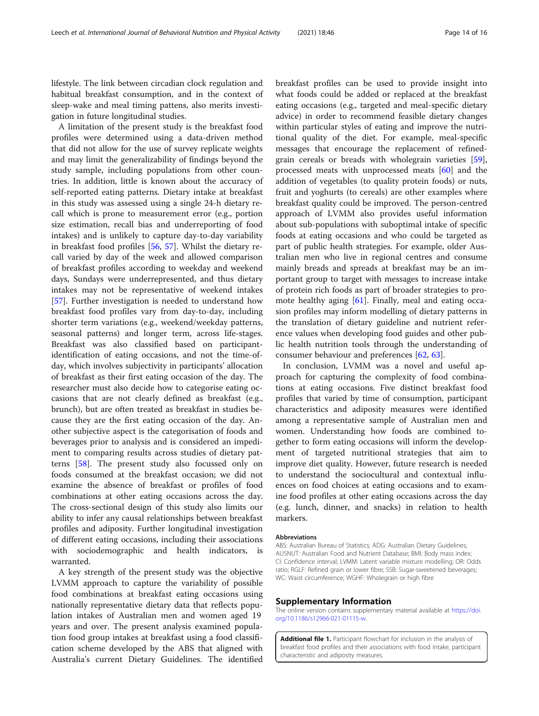<span id="page-13-0"></span>lifestyle. The link between circadian clock regulation and habitual breakfast consumption, and in the context of sleep-wake and meal timing pattens, also merits investigation in future longitudinal studies.

A limitation of the present study is the breakfast food profiles were determined using a data-driven method that did not allow for the use of survey replicate weights and may limit the generalizability of findings beyond the study sample, including populations from other countries. In addition, little is known about the accuracy of self-reported eating patterns. Dietary intake at breakfast in this study was assessed using a single 24-h dietary recall which is prone to measurement error (e.g., portion size estimation, recall bias and underreporting of food intakes) and is unlikely to capture day-to-day variability in breakfast food profiles [[56](#page-15-0), [57\]](#page-15-0). Whilst the dietary recall varied by day of the week and allowed comparison of breakfast profiles according to weekday and weekend days, Sundays were underrepresented, and thus dietary intakes may not be representative of weekend intakes [[57\]](#page-15-0). Further investigation is needed to understand how breakfast food profiles vary from day-to-day, including shorter term variations (e.g., weekend/weekday patterns, seasonal patterns) and longer term, across life-stages. Breakfast was also classified based on participantidentification of eating occasions, and not the time-ofday, which involves subjectivity in participants' allocation of breakfast as their first eating occasion of the day. The researcher must also decide how to categorise eating occasions that are not clearly defined as breakfast (e.g., brunch), but are often treated as breakfast in studies because they are the first eating occasion of the day. Another subjective aspect is the categorisation of foods and beverages prior to analysis and is considered an impediment to comparing results across studies of dietary patterns [\[58](#page-15-0)]. The present study also focussed only on foods consumed at the breakfast occasion; we did not examine the absence of breakfast or profiles of food combinations at other eating occasions across the day. The cross-sectional design of this study also limits our ability to infer any causal relationships between breakfast profiles and adiposity. Further longitudinal investigation of different eating occasions, including their associations with sociodemographic and health indicators, is warranted.

A key strength of the present study was the objective LVMM approach to capture the variability of possible food combinations at breakfast eating occasions using nationally representative dietary data that reflects population intakes of Australian men and women aged 19 years and over. The present analysis examined population food group intakes at breakfast using a food classification scheme developed by the ABS that aligned with Australia's current Dietary Guidelines. The identified

breakfast profiles can be used to provide insight into what foods could be added or replaced at the breakfast eating occasions (e.g., targeted and meal-specific dietary advice) in order to recommend feasible dietary changes within particular styles of eating and improve the nutritional quality of the diet. For example, meal-specific messages that encourage the replacement of refinedgrain cereals or breads with wholegrain varieties [\[59](#page-15-0)], processed meats with unprocessed meats [\[60\]](#page-15-0) and the addition of vegetables (to quality protein foods) or nuts, fruit and yoghurts (to cereals) are other examples where breakfast quality could be improved. The person-centred approach of LVMM also provides useful information about sub-populations with suboptimal intake of specific foods at eating occasions and who could be targeted as part of public health strategies. For example, older Australian men who live in regional centres and consume mainly breads and spreads at breakfast may be an important group to target with messages to increase intake of protein rich foods as part of broader strategies to promote healthy aging [\[61](#page-15-0)]. Finally, meal and eating occasion profiles may inform modelling of dietary patterns in the translation of dietary guideline and nutrient reference values when developing food guides and other public health nutrition tools through the understanding of consumer behaviour and preferences [[62,](#page-15-0) [63\]](#page-15-0).

In conclusion, LVMM was a novel and useful approach for capturing the complexity of food combinations at eating occasions. Five distinct breakfast food profiles that varied by time of consumption, participant characteristics and adiposity measures were identified among a representative sample of Australian men and women. Understanding how foods are combined together to form eating occasions will inform the development of targeted nutritional strategies that aim to improve diet quality. However, future research is needed to understand the sociocultural and contextual influences on food choices at eating occasions and to examine food profiles at other eating occasions across the day (e.g. lunch, dinner, and snacks) in relation to health markers.

#### Abbreviations

ABS: Australian Bureau of Statistics; ADG: Australian Dietary Guidelines; AUSNUT: Australian Food and Nutrient Database; BMI: Body mass index; CI: Confidence interval; LVMM: Latent variable mixture modelling; OR: Odds ratio; RGLF: Refined grain or lower fibre; SSB: Sugar-sweetened beverages; WC: Waist circumference; WGHF: Wholegrain or high fibre

#### Supplementary Information

The online version contains supplementary material available at [https://doi.](https://doi.org/10.1186/s12966-021-01115-w) [org/10.1186/s12966-021-01115-w](https://doi.org/10.1186/s12966-021-01115-w).

Additional file 1. Participant flowchart for inclusion in the analysis of breakfast food profiles and their associations with food intake, participant characteristic and adiposity measures.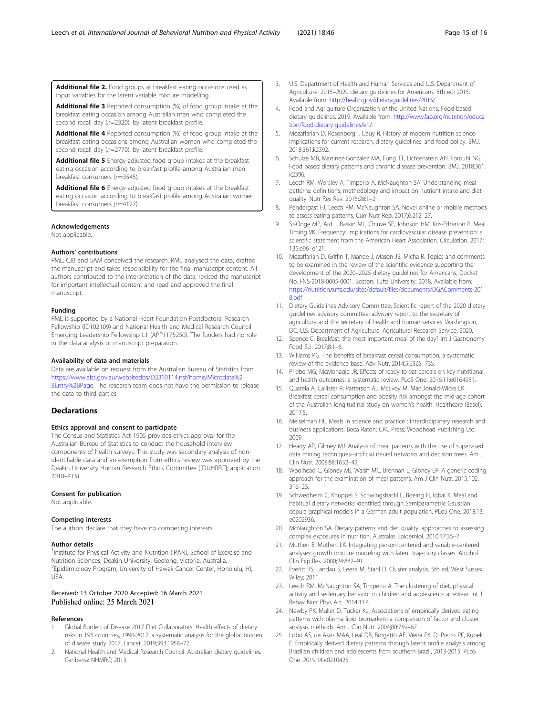<span id="page-14-0"></span>Additional file 2. Food groups at breakfast eating occasions used as input variables for the latent variable mixture modelling.

Additional file 3 Reported consumption (%) of food group intake at the breakfast eating occasion among Australian men who completed the second recall day (n=2320), by latent breakfast profile.

Additional file 4 Reported consumption (%) of food group intake at the breakfast eating occasions among Australian women who completed the second recall day (n=2770), by latent breakfast profile.

Additional file 5 Energy-adjusted food group intakes at the breakfast eating occasion according to breakfast profile among Australian men breakfast consumers (n=3545).

Additional file 6 Energy-adjusted food group intakes at the breakfast eating occasion according to breakfast profile among Australian women breakfast consumers (n=4127).

#### Acknowledgements

Not applicable.

#### Authors' contributions

RML, CJB and SAM conceived the research. RML analysed the data, drafted the manuscript and takes responsibility for the final manuscript content. All authors contributed to the interpretation of the data, revised the manuscript for important intellectual content and read and approved the final manuscript.

#### Funding

RML is supported by a National Heart Foundation Postdoctoral Research Fellowship (ID102109) and National Health and Medical Research Council Emerging Leadership Fellowship L1 (APP1175250). The funders had no role in the data analysis or manuscript preparation.

#### Availability of data and materials

Data are available on request from the Australian Bureau of Statistics from [https://www.abs.gov.au/websitedbs/D3310114.nsf/home/Microdata%2](https://www.abs.gov.au/websitedbs/D3310114.nsf/home/Microdata%2BEntry%2BPage) [BEntry%2BPage](https://www.abs.gov.au/websitedbs/D3310114.nsf/home/Microdata%2BEntry%2BPage). The research team does not have the permission to release the data to third parties.

#### Declarations

#### Ethics approval and consent to participate

The Census and Statistics Act 1905 provides ethics approval for the Australian Bureau of Statistics to conduct the household interview components of health surveys. This study was secondary analysis of nonidentifiable data and an exemption from ethics review was approved by the Deakin University Human Research Ethics Committee ([DUHREC]; application 2018–415).

#### Consent for publication

Not applicable.

#### Competing interests

The authors declare that they have no competing interests.

#### Author details

<sup>1</sup>Institute for Physical Activity and Nutrition (IPAN), School of Exercise and Nutrition Sciences, Deakin University, Geelong, Victoria, Australia. <sup>2</sup> Epidemiology Program, University of Hawaii Cancer Center, Honolulu, HI, USA.

#### Received: 13 October 2020 Accepted: 16 March 2021 Published online: 25 March 2021

#### References

- Global Burden of Disease 2017 Diet Collaborators. Health effects of dietary risks in 195 countries, 1990-2017: a systematic analysis for the global burden of disease study 2017. Lancet. 2019;393:1958–72.
- 2. National Health and Medical Research Council. Australian dietary guidelines. Canberra: NHMRC; 2013.
- 3. U.S. Department of Health and Human Services and U.S. Department of Agriculture. 2015–2020 dietary guidelines for Americans. 8th ed; 2015. Available from: <http://health.gov/dietaryguidelines/2015/>
- 4. Food and Agrigulture Organization of the United Nations. Food-based dietary guidelines. 2019. Available from: [http://www.fao.org/nutrition/educa](http://www.fao.org/nutrition/education/food-dietary-guidelines/en/) [tion/food-dietary-guidelines/en/](http://www.fao.org/nutrition/education/food-dietary-guidelines/en/).
- 5. Mozaffarian D, Rosenberg I, Uauy R. History of modern nutrition scienceimplications for current research, dietary guidelines, and food policy. BMJ. 2018;361:k2392.
- 6. Schulze MB, Martinez-Gonzalez MA, Fung TT, Lichtenstein AH, Forouhi NG. Food based dietary patterns and chronic disease prevention. BMJ. 2018;361: k2396.
- 7. Leech RM, Worsley A, Timperio A, McNaughton SA. Understanding meal patterns: definitions, methodology and impact on nutrient intake and diet quality. Nutr Res Rev. 2015;28:1–21.
- 8. Pendergast FJ, Leech RM, McNaughton SA. Novel online or mobile methods to assess eating patterns. Curr Nutr Rep. 2017;6:212–27.
- 9. St-Onge MP, Ard J, Baskin ML, Chiuve SE, Johnson HM, Kris-Etherton P, Meal Timing VK. Frequency: implications for cardiovascular disease prevention: a scientific statement from the American Heart Association. Circulation. 2017; 135:e96–e121.
- 10. Mozaffarian D, Griffin T, Mande J, Mason JB, Micha R. Topics and comments to be examined in the review of the scientific evidence supporting the development of the 2020–2025 dietary guidelines for Americans, Docket No. FNS-2018-0005-0001. Boston: Tufts University; 2018. Available from: [https://nutrition.tufts.edu/sites/default/files/documents/DGAComments-201](https://nutrition.tufts.edu/sites/default/files/documents/DGAComments-2018.pdf) [8.pdf](https://nutrition.tufts.edu/sites/default/files/documents/DGAComments-2018.pdf)
- 11. Dietary Guidelines Advisory Committee. Scientific report of the 2020 dietary guidelines advisory committee: advisory report to the secretary of agriculture and the secretary of health and human services. Washington, DC: U.S. Department of Agriculture, Agricultural Research Service; 2020.
- 12. Spence C. Breakfast: the most important meal of the day? Int J Gastronomy Food Sci. 2017;8:1–6.
- 13. Williams PG. The benefits of breakfast cereal consumption: a systematic review of the evidence base. Adv Nutr. 2014;5:636S–73S.
- 14. Priebe MG, McMonagle JR. Effects of ready-to-eat-cereals on key nutritional and health outcomes: a systematic review. PLoS One. 2016;11:e0164931.
- 15. Quatela A, Callister R, Patterson AJ, McEvoy M, MacDonald-Wicks LK. Breakfast cereal consumption and obesity risk amongst the mid-age cohort of the Australian longitudinal study on women's health. Healthcare (Basel). 2017;5.
- 16. Meiselman HL. Meals in science and practice : interdisciplinary research and business applications. Boca Raton: CRC Press; Woodhead Publishing Ltd; 2009.
- 17. Hearty AP, Gibney MJ. Analysis of meal patterns with the use of supervised data mining techniques--artificial neural networks and decision trees. Am J Clin Nutr. 2008;88:1632–42.
- 18. Woolhead C, Gibney MJ, Walsh MC, Brennan L, Gibney ER. A generic coding approach for the examination of meal patterns. Am J Clin Nutr. 2015;102: 316–23.
- 19. Schwedhelm C, Knuppel S, Schwingshackl L, Boeing H, Iqbal K. Meal and habitual dietary networks identified through Semiparametric Gaussian copula graphical models in a German adult population. PLoS One. 2018;13: e0202936.
- 20. McNaughton SA. Dietary patterns and diet quality: approaches to assessing complex exposures in nutrition. Australas Epidemiol. 2010;17:35–7.
- 21. Muthen B, Muthen LK. Integrating person-centered and variable-centered analyses: growth mixture modeling with latent trajectory classes. Alcohol Clin Exp Res. 2000;24:882–91.
- 22. Everitt BS, Landau S, Leese M, Stahl D. Cluster analysis. 5th ed. West Sussex: Wiley; 2011.
- 23. Leech RM, McNaughton SA, Timperio A. The clustering of diet, physical activity and sedentary behavior in children and adolescents: a review. Int J Behav Nutr Phys Act. 2014;11:4.
- 24. Newby PK, Muller D, Tucker KL. Associations of empirically derived eating patterns with plasma lipid biomarkers: a comparison of factor and cluster analysis methods. Am J Clin Nutr. 2004;80:759–67.
- 25. Lobo AS, de Assis MAA, Leal DB, Borgatto AF, Vieira FK, Di Pietro PF, Kupek E. Empirically derived dietary patterns through latent profile analysis among Brazilian children and adolescents from southern Brazil, 2013-2015. PLoS One. 2019;14:e0210425.